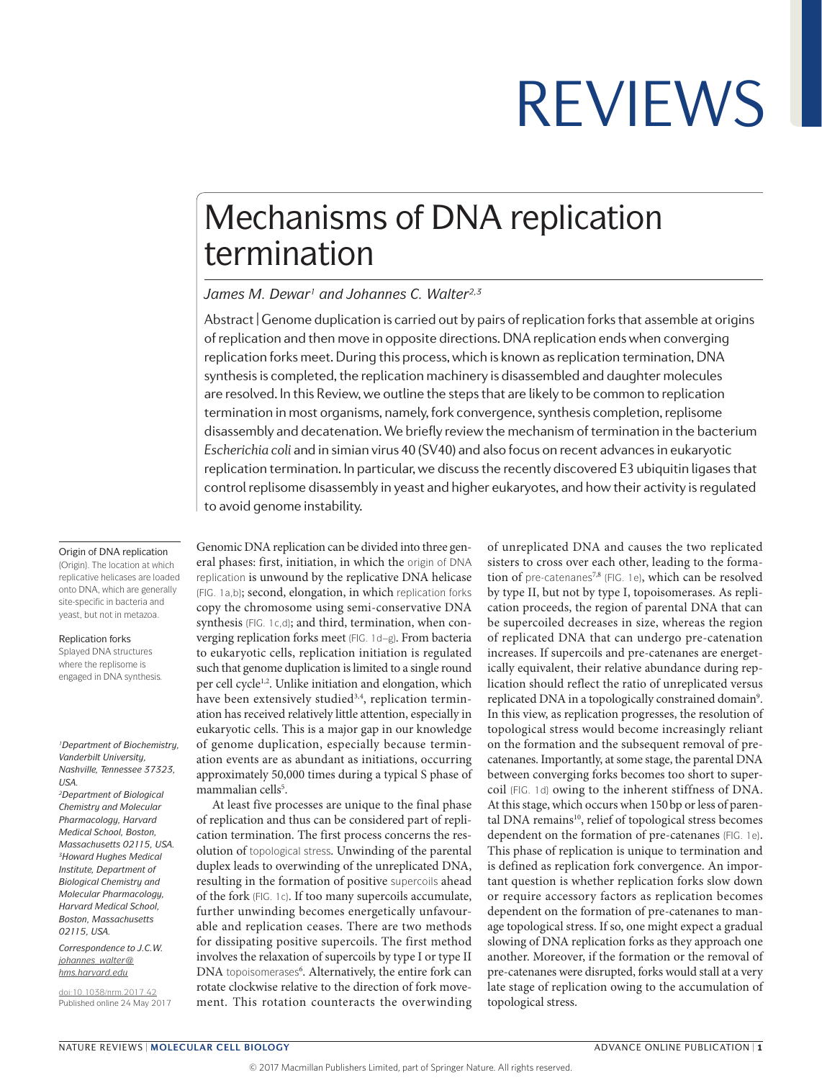## Mechanisms of DNA replication termination

#### *James M. Dewar1 and Johannes C. Walter2,3*

Abstract | Genome duplication is carried out by pairs of replication forks that assemble at origins of replication and then move in opposite directions. DNA replication ends when converging replication forks meet. During this process, which is known as replication termination, DNA synthesis is completed, the replication machinery is disassembled and daughter molecules are resolved. In this Review, we outline the steps that are likely to be common to replication termination in most organisms, namely, fork convergence, synthesis completion, replisome disassembly and decatenation. We briefly review the mechanism of termination in the bacterium *Escherichia coli* and in simian virus 40 (SV40) and also focus on recent advances in eukaryotic replication termination. In particular, we discuss the recently discovered E3 ubiquitin ligases that control replisome disassembly in yeast and higher eukaryotes, and how their activity is regulated to avoid genome instability.

#### Origin of DNA replication

(Origin). The location at which replicative helicases are loaded onto DNA, which are generally site-specific in bacteria and yeast, but not in metazoa.

#### Replication forks

Splayed DNA structures where the replisome is engaged in DNA synthesis.

*1Department of Biochemistry, Vanderbilt University, Nashville, Tennessee 37323, USA.*

*2Department of Biological Chemistry and Molecular Pharmacology, Harvard Medical School, Boston, Massachusetts 02115, USA. 3Howard Hughes Medical Institute, Department of Biological Chemistry and Molecular Pharmacology, Harvard Medical School, Boston, Massachusetts 02115, USA.*

*Correspondence to J.C.W. [johannes\\_walter@](mailto:johannes_walter@hms.harvard.edu) [hms.harvard.edu](mailto:johannes_walter@hms.harvard.edu)*

[doi:10.1038/nrm.2017.42](http://dx.doi.org/10.1038/nrm.2017.42) Published online 24 May 2017

Genomic DNA replication can be divided into three general phases: first, initiation, in which the origin of DNA replication is unwound by the replicative DNA helicase (FIG. 1a,b); second, elongation, in which replication forks copy the chromosome using semi-conservative DNA synthesis (FIG. 1c,d); and third, termination, when converging replication forks meet (FIG. 1d–g). From bacteria to eukaryotic cells, replication initiation is regulated such that genome duplication is limited to a single round per cell cycle<sup>1,2</sup>. Unlike initiation and elongation, which have been extensively studied3,4, replication termination has received relatively little attention, especially in eukaryotic cells. This is a major gap in our knowledge of genome duplication, especially because termination events are as abundant as initiations, occurring approximately 50,000 times during a typical S phase of mammalian cells<sup>5</sup>.

At least five processes are unique to the final phase of replication and thus can be considered part of replication termination. The first process concerns the resolution of topological stress. Unwinding of the parental duplex leads to overwinding of the unreplicated DNA, resulting in the formation of positive supercoils ahead of the fork (FIG. 1c). If too many supercoils accumulate, further unwinding becomes energetically unfavourable and replication ceases. There are two methods for dissipating positive supercoils. The first method involves the relaxation of supercoils by type I or type II DNA topoisomerases<sup>6</sup>. Alternatively, the entire fork can rotate clockwise relative to the direction of fork movement. This rotation counteracts the overwinding of unreplicated DNA and causes the two replicated sisters to cross over each other, leading to the formation of pre-catenanes<sup>7,8</sup> (FIG. 1e), which can be resolved by type II, but not by type I, topoisomerases. As replication proceeds, the region of parental DNA that can be supercoiled decreases in size, whereas the region of replicated DNA that can undergo pre-catenation increases. If supercoils and pre-catenanes are energetically equivalent, their relative abundance during replication should reflect the ratio of unreplicated versus replicated DNA in a topologically constrained domain<sup>9</sup>. In this view, as replication progresses, the resolution of topological stress would become increasingly reliant on the formation and the subsequent removal of precatenanes. Importantly, at some stage, the parental DNA between converging forks becomes too short to supercoil (FIG. 1d) owing to the inherent stiffness of DNA. At this stage, which occurs when 150bp or less of parental DNA remains<sup>10</sup>, relief of topological stress becomes dependent on the formation of pre-catenanes (FIG. 1e). This phase of replication is unique to termination and is defined as replication fork convergence. An important question is whether replication forks slow down or require accessory factors as replication becomes dependent on the formation of pre-catenanes to manage topological stress. If so, one might expect a gradual slowing of DNA replication forks as they approach one another. Moreover, if the formation or the removal of pre-catenanes were disrupted, forks would stall at a very late stage of replication owing to the accumulation of topological stress.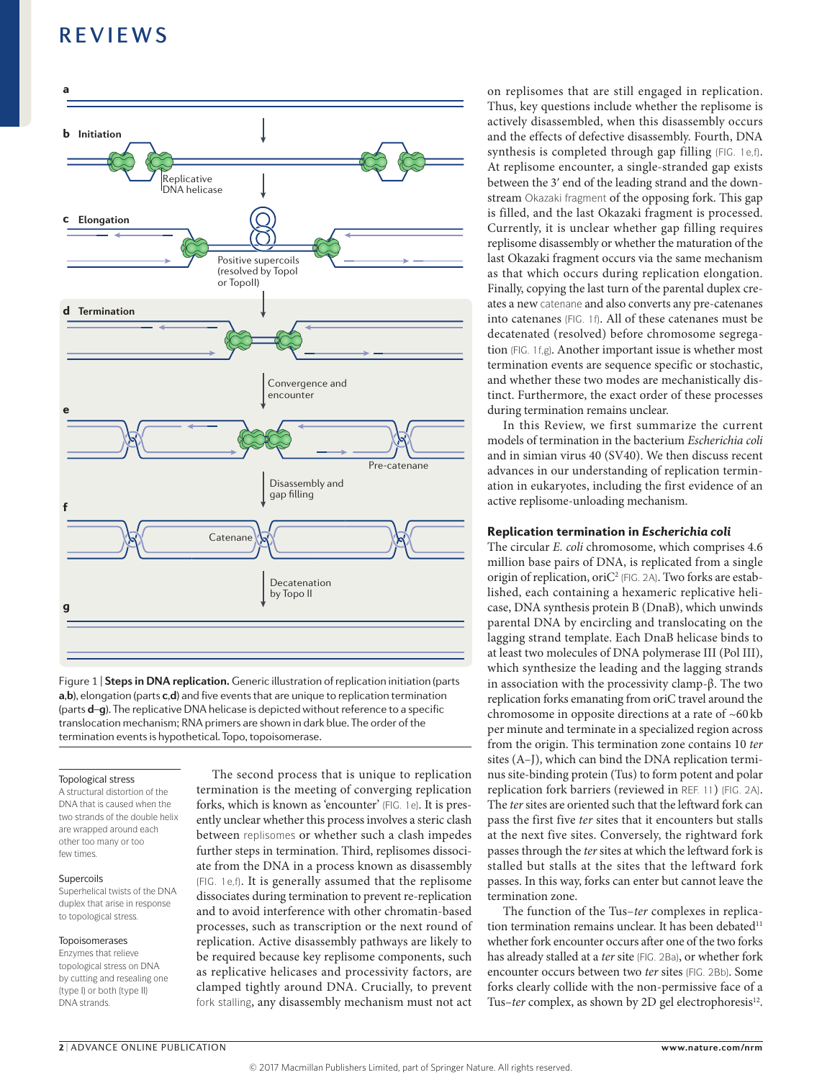

Figure 1 | Steps in DNA replication. Generic illustration of replication initiation (parts **a**,**b**), elongation (parts **c**,**d**) and five events that are unique to replication termination (parts **d**–**g**). The replicative DNA helicase is depicted without reference to a specific translocation mechanism; RNA primers are shown in dark blue. The order of the termination events is hypothetical. Topo, topoisomerase.

#### Topological stress

A structural distortion of the DNA that is caused when the two strands of the double helix are wrapped around each other too many or too few times.

#### Supercoils

Superhelical twists of the DNA duplex that arise in response to topological stress.

#### Topoisomerases

Enzymes that relieve topological stress on DNA by cutting and resealing one (type I) or both (type II) DNA strands.

The second process that is unique to replication termination is the meeting of converging replication forks, which is known as 'encounter' (FIG. 1e). It is presently unclear whether this process involves a steric clash between replisomes or whether such a clash impedes further steps in termination. Third, replisomes dissociate from the DNA in a process known as disassembly (FIG. 1e,f). It is generally assumed that the replisome dissociates during termination to prevent re-replication and to avoid interference with other chromatin-based processes, such as transcription or the next round of replication. Active disassembly pathways are likely to be required because key replisome components, such as replicative helicases and processivity factors, are clamped tightly around DNA. Crucially, to prevent fork stalling, any disassembly mechanism must not act on replisomes that are still engaged in replication. Thus, key questions include whether the replisome is actively disassembled, when this disassembly occurs and the effects of defective disassembly. Fourth, DNA synthesis is completed through gap filling (FIG. 1e,f). At replisome encounter, a single-stranded gap exists between the 3' end of the leading strand and the downstream Okazaki fragment of the opposing fork. This gap is filled, and the last Okazaki fragment is processed. Currently, it is unclear whether gap filling requires replisome disassembly or whether the maturation of the last Okazaki fragment occurs via the same mechanism as that which occurs during replication elongation. Finally, copying the last turn of the parental duplex creates a new catenane and also converts any pre-catenanes into catenanes (FIG. 1f). All of these catenanes must be decatenated (resolved) before chromosome segregation (FIG. 1f,g). Another important issue is whether most termination events are sequence specific or stochastic, and whether these two modes are mechanistically distinct. Furthermore, the exact order of these processes during termination remains unclear.

In this Review, we first summarize the current models of termination in the bacterium *Escherichia coli* and in simian virus 40 (SV40). We then discuss recent advances in our understanding of replication termination in eukaryotes, including the first evidence of an active replisome-unloading mechanism.

#### Replication termination in *Escherichia coli*

The circular *E. coli* chromosome, which comprises 4.6 million base pairs of DNA, is replicated from a single origin of replication, oriC<sup>2</sup> (FIG. 2A). Two forks are established, each containing a hexameric replicative helicase, DNA synthesis protein B (DnaB), which unwinds parental DNA by encircling and translocating on the lagging strand template. Each DnaB helicase binds to at least two molecules of DNA polymerase III (Pol III), which synthesize the leading and the lagging strands in association with the processivity clamp-β. The two replication forks emanating from oriC travel around the chromosome in opposite directions at a rate of ~60 kb per minute and terminate in a specialized region across from the origin. This termination zone contains 10 *ter* sites (A–J), which can bind the DNA replication terminus site-binding protein (Tus) to form potent and polar replication fork barriers (reviewed in REF. 11) (FIG. 2A). The *ter* sites are oriented such that the leftward fork can pass the first five *ter* sites that it encounters but stalls at the next five sites. Conversely, the rightward fork passes through the *ter* sites at which the leftward fork is stalled but stalls at the sites that the leftward fork passes. In this way, forks can enter but cannot leave the termination zone.

The function of the Tus–*ter* complexes in replication termination remains unclear. It has been debated<sup>11</sup> whether fork encounter occurs after one of the two forks has already stalled at a *ter* site (FIG. 2Ba), or whether fork encounter occurs between two *ter* sites (FIG. 2Bb). Some forks clearly collide with the non-permissive face of a Tus-ter complex, as shown by 2D gel electrophoresis<sup>12</sup>.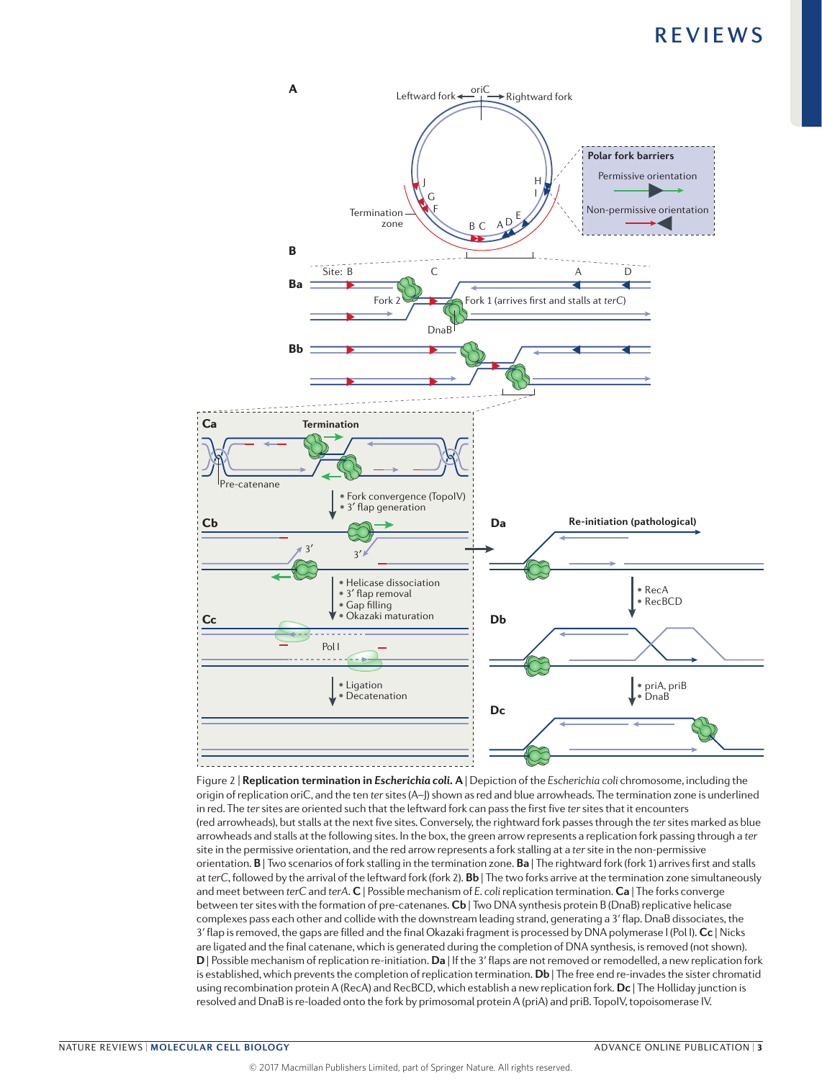

origin of replication oriC, and the ten *ter* sites (A–J) shown as red and blue arrowheads. The termination zone is underlined Figure 2 | **Replication termination in** *Escherichia coli***. A** | Depiction of the *Escherichia coli* chromosome, including the in red. The *ter* sites are oriented such that the leftward fork can pass the first five *ter* sites that it encounters (red arrowheads), but stalls at the next five sites. Conversely, the rightward fork passes through the *ter* sites marked as blue arrowheads and stalls at the following sites. In the box, the green arrow represents a replication fork passing through a *ter* site in the permissive orientation, and the red arrow represents a fork stalling at a *ter* site in the non-permissive orientation. **B** | Two scenarios of fork stalling in the termination zone. **Ba** | The rightward fork (fork 1) arrives first and stalls at *terC*, followed by the arrival of the leftward fork (fork 2). **Bb** | The two forks arrive at the termination zone simultaneously and meet between *terC* and *terA*. **C** | Possible mechanism of *E. coli* replication termination. **Ca** | The forks converge between ter sites with the formation of pre-catenanes. **Cb** | Two DNA synthesis protein B (DnaB) replicative helicase complexes pass each other and collide with the downstream leading strand, generating a 3ʹ flap. DnaB dissociates, the 3ʹ flap is removed, the gaps are filled and the final Okazaki fragment is processed by DNA polymerase I (Pol I). **Cc** | Nicks are ligated and the final catenane, which is generated during the completion of DNA synthesis, is removed (not shown). **D** | Possible mechanism of replication re-initiation. **Da** | If the 3ʹ flaps are not removed or remodelled, a new replication fork is established, which prevents the completion of replication termination. **Db** | The free end re-invades the sister chromatid using recombination protein A (RecA) and RecBCD, which establish a new replication fork. **Dc** | The Holliday junction is resolved and DnaB is re‑loaded onto the fork by primosomal protein A (priA) and priB. TopoIV, topoisomerase IV.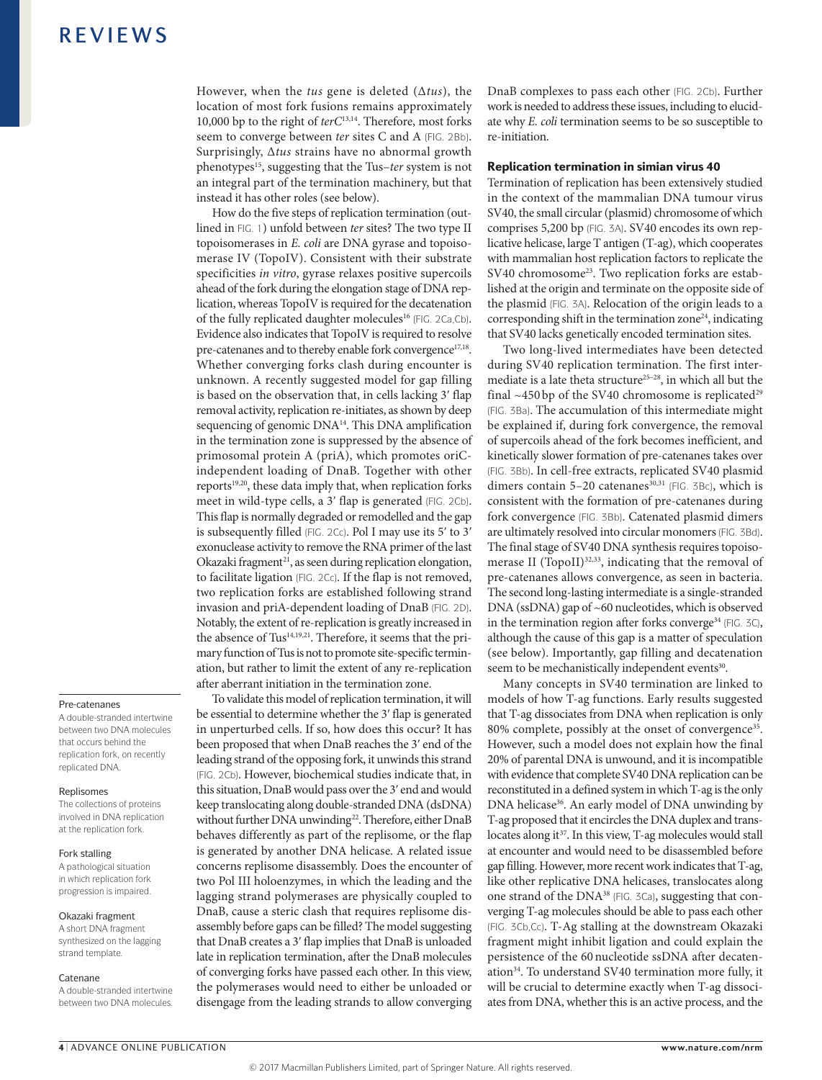#### However, when the *tus* gene is deleted (Δ*tus*), the location of most fork fusions remains approximately 10,000 bp to the right of *terC*13,14. Therefore, most forks seem to converge between *ter* sites C and A (FIG. 2Bb). Surprisingly, Δ*tus* strains have no abnormal growth phenotypes15, suggesting that the Tus–*ter* system is not an integral part of the termination machinery, but that instead it has other roles (see below).

How do the five steps of replication termination (outlined in FIG. 1) unfold between *ter* sites? The two type II topoisomerases in *E. coli* are DNA gyrase and topoisomerase IV (TopoIV). Consistent with their substrate specificities *in vitro*, gyrase relaxes positive supercoils ahead of the fork during the elongation stage of DNA replication, whereas TopoIV is required for the decatenation of the fully replicated daughter molecules<sup>16</sup> (FIG. 2Ca,Cb). Evidence also indicates that TopoIV is required to resolve pre-catenanes and to thereby enable fork convergence<sup>17,18</sup>. Whether converging forks clash during encounter is unknown. A recently suggested model for gap filling is based on the observation that, in cells lacking 3ʹ flap removal activity, replication re-initiates, as shown by deep sequencing of genomic DNA<sup>14</sup>. This DNA amplification in the termination zone is suppressed by the absence of primosomal protein A (priA), which promotes oriCindependent loading of DnaB. Together with other reports<sup>19,20</sup>, these data imply that, when replication forks meet in wild-type cells, a 3ʹ flap is generated (FIG. 2Cb). This flap is normally degraded or remodelled and the gap is subsequently filled (FIG. 2Cc). Pol I may use its 5ʹ to 3ʹ exonuclease activity to remove the RNA primer of the last Okazaki fragment<sup>21</sup>, as seen during replication elongation, to facilitate ligation (FIG. 2Cc). If the flap is not removed, two replication forks are established following strand invasion and priA-dependent loading of DnaB (FIG. 2D). Notably, the extent of re-replication is greatly increased in the absence of Tus<sup>14,19,21</sup>. Therefore, it seems that the primary function of Tus is not to promote site-specific termination, but rather to limit the extent of any re-replication after aberrant initiation in the termination zone.

To validate this model of replication termination, it will be essential to determine whether the 3ʹ flap is generated in unperturbed cells. If so, how does this occur? It has been proposed that when DnaB reaches the 3ʹ end of the leading strand of the opposing fork, it unwinds this strand (FIG. 2Cb). However, biochemical studies indicate that, in this situation, DnaB would pass over the 3ʹ end and would keep translocating along double-stranded DNA (dsDNA) without further DNA unwinding<sup>22</sup>. Therefore, either DnaB behaves differently as part of the replisome, or the flap is generated by another DNA helicase. A related issue concerns replisome disassembly. Does the encounter of two Pol III holoenzymes, in which the leading and the lagging strand polymerases are physically coupled to DnaB, cause a steric clash that requires replisome disassembly before gaps can be filled? The model suggesting that DnaB creates a 3ʹ flap implies that DnaB is unloaded late in replication termination, after the DnaB molecules of converging forks have passed each other. In this view, the polymerases would need to either be unloaded or disengage from the leading strands to allow converging DnaB complexes to pass each other (FIG. 2Cb). Further work is needed to address these issues, including to elucidate why *E. coli* termination seems to be so susceptible to re-initiation.

#### Replication termination in simian virus 40

Termination of replication has been extensively studied in the context of the mammalian DNA tumour virus SV40, the small circular (plasmid) chromosome of which comprises 5,200 bp (FIG. 3A). SV40 encodes its own replicative helicase, large T antigen (T-ag), which cooperates with mammalian host replication factors to replicate the SV40 chromosome<sup>23</sup>. Two replication forks are established at the origin and terminate on the opposite side of the plasmid (FIG. 3A). Relocation of the origin leads to a corresponding shift in the termination zone $24$ , indicating that SV40 lacks genetically encoded termination sites.

Two long-lived intermediates have been detected during SV40 replication termination. The first intermediate is a late theta structure<sup>25-28</sup>, in which all but the final  $~450$  bp of the SV40 chromosome is replicated<sup>29</sup> (FIG. 3Ba). The accumulation of this intermediate might be explained if, during fork convergence, the removal of supercoils ahead of the fork becomes inefficient, and kinetically slower formation of pre-catenanes takes over (FIG. 3Bb). In cell-free extracts, replicated SV40 plasmid dimers contain  $5-20$  catenanes<sup>30,31</sup> (FIG. 3Bc), which is consistent with the formation of pre-catenanes during fork convergence (FIG. 3Bb). Catenated plasmid dimers are ultimately resolved into circular monomers (FIG. 3Bd). The final stage of SV40 DNA synthesis requires topoisomerase II (TopoII)<sup>32,33</sup>, indicating that the removal of pre-catenanes allows convergence, as seen in bacteria. The second long-lasting intermediate is a single-stranded DNA (ssDNA) gap of ~60 nucleotides, which is observed in the termination region after forks converge<sup>34</sup> (FIG. 3C), although the cause of this gap is a matter of speculation (see below). Importantly, gap filling and decatenation seem to be mechanistically independent events<sup>30</sup>.

Many concepts in SV40 termination are linked to models of how T-ag functions. Early results suggested that T-ag dissociates from DNA when replication is only 80% complete, possibly at the onset of convergence<sup>35</sup>. However, such a model does not explain how the final 20% of parental DNA is unwound, and it is incompatible with evidence that complete SV40 DNA replication can be reconstituted in a defined system in which T-ag is the only DNA helicase<sup>36</sup>. An early model of DNA unwinding by T-ag proposed that it encircles the DNA duplex and translocates along it<sup>37</sup>. In this view, T-ag molecules would stall at encounter and would need to be disassembled before gap filling. However, more recent work indicates that T-ag, like other replicative DNA helicases, translocates along one strand of the DNA<sup>38</sup> (FIG. 3Ca), suggesting that converging T-ag molecules should be able to pass each other (FIG. 3Cb,Cc). T-Ag stalling at the downstream Okazaki fragment might inhibit ligation and could explain the persistence of the 60nucleotide ssDNA after decatenation<sup>34</sup>. To understand SV40 termination more fully, it will be crucial to determine exactly when T-ag dissociates from DNA, whether this is an active process, and the

#### Pre-catenanes

A double-stranded intertwine between two DNA molecules that occurs behind the replication fork, on recently replicated DNA.

#### Replisomes

The collections of proteins involved in DNA replication at the replication fork.

#### Fork stalling

A pathological situation in which replication fork progression is impaired.

#### Okazaki fragment

A short DNA fragment synthesized on the lagging strand template.

#### Catenane

A double-stranded intertwine between two DNA molecules.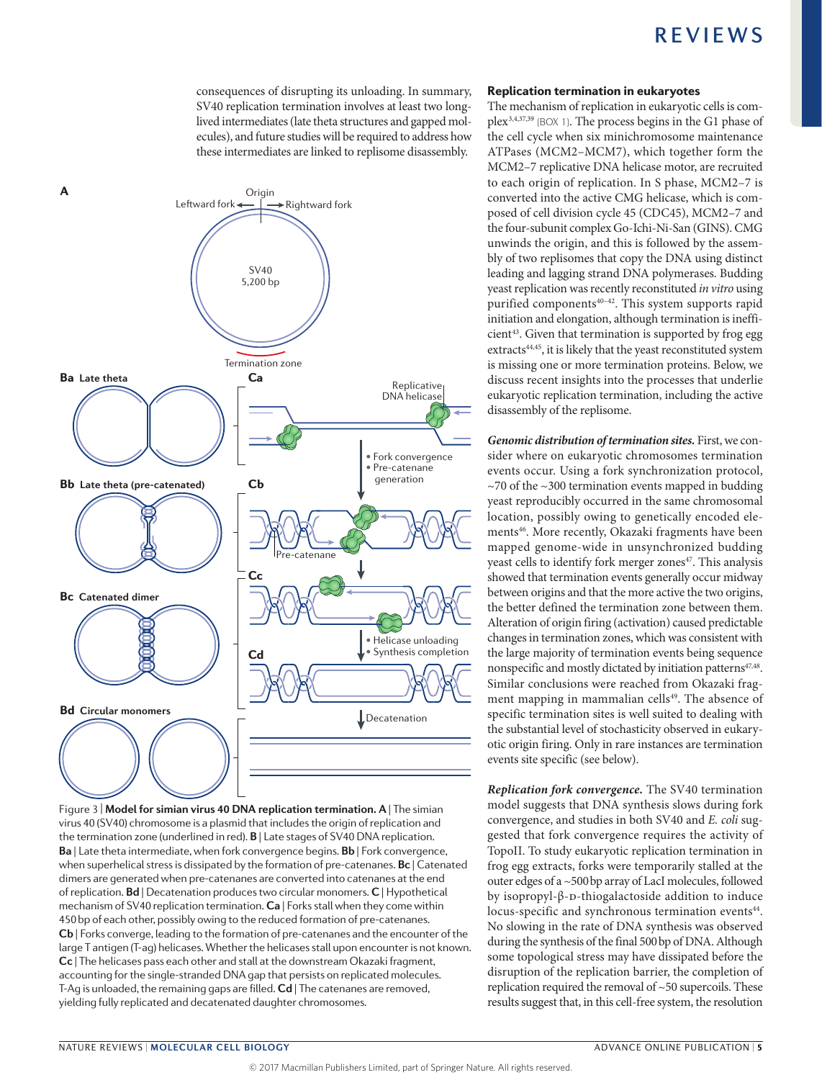consequences of disrupting its unloading. In summary, SV40 replication termination involves at least two longlived intermediates (late theta structures and gapped molecules), and future studies will be required to address how these intermediates are linked to replisome disassembly.



**Nature Reviews** | **Molecular Cell Biology** virus 40 (SV40) chromosome is a plasmid that includes the origin of replication and Figure 3 | **Model for simian virus 40 DNA replication termination. A** | The simian the termination zone (underlined in red). **B** | Late stages of SV40 DNA replication. **Ba** | Late theta intermediate, when fork convergence begins. **Bb** | Fork convergence, when superhelical stress is dissipated by the formation of pre-catenanes. **Bc** | Catenated dimers are generated when pre-catenanes are converted into catenanes at the end of replication. **Bd** | Decatenation produces two circular monomers. **C** | Hypothetical mechanism of SV40 replication termination. **Ca** | Forks stall when they come within 450bp of each other, possibly owing to the reduced formation of pre-catenanes. **Cb** | Forks converge, leading to the formation of pre-catenanes and the encounter of the large T antigen (T-ag) helicases. Whether the helicases stall upon encounter is not known. **Cc** | The helicases pass each other and stall at the downstream Okazaki fragment, accounting for the single-stranded DNA gap that persists on replicated molecules. T‑Ag is unloaded, the remaining gaps are filled. **Cd** | The catenanes are removed, yielding fully replicated and decatenated daughter chromosomes.

#### Replication termination in eukaryotes

The mechanism of replication in eukaryotic cells is complex3,4,37,39 (BOX 1). The process begins in the G1 phase of the cell cycle when six minichromosome maintenance ATPases (MCM2–MCM7), which together form the MCM2–7 replicative DNA helicase motor, are recruited to each origin of replication. In S phase, MCM2–7 is converted into the active CMG helicase, which is composed of cell division cycle 45 (CDC45), MCM2–7 and the four-subunit complex Go-Ichi-Ni-San (GINS). CMG unwinds the origin, and this is followed by the assembly of two replisomes that copy the DNA using distinct leading and lagging strand DNA polymerases. Budding yeast replication was recently reconstituted *in vitro* using purified components<sup>40-42</sup>. This system supports rapid initiation and elongation, although termination is ineffi $cient<sup>43</sup>$ . Given that termination is supported by frog egg extracts<sup>44,45</sup>, it is likely that the yeast reconstituted system is missing one or more termination proteins. Below, we discuss recent insights into the processes that underlie eukaryotic replication termination, including the active disassembly of the replisome.

*Genomic distribution of termination sites.* First, we consider where on eukaryotic chromosomes termination events occur. Using a fork synchronization protocol,  $\sim$ 70 of the  $\sim$ 300 termination events mapped in budding yeast reproducibly occurred in the same chromosomal location, possibly owing to genetically encoded elements<sup>46</sup>. More recently, Okazaki fragments have been mapped genome-wide in unsynchronized budding yeast cells to identify fork merger zones<sup>47</sup>. This analysis showed that termination events generally occur midway between origins and that the more active the two origins, the better defined the termination zone between them. Alteration of origin firing (activation) caused predictable changes in termination zones, which was consistent with the large majority of termination events being sequence nonspecific and mostly dictated by initiation patterns<sup>47,48</sup>. Similar conclusions were reached from Okazaki fragment mapping in mammalian cells<sup>49</sup>. The absence of specific termination sites is well suited to dealing with the substantial level of stochasticity observed in eukaryotic origin firing. Only in rare instances are termination events site specific (see below).

*Replication fork convergence.* The SV40 termination model suggests that DNA synthesis slows during fork convergence, and studies in both SV40 and *E. coli* suggested that fork convergence requires the activity of TopoII. To study eukaryotic replication termination in frog egg extracts, forks were temporarily stalled at the outer edges of a ~500bp array of LacI molecules, followed by isopropyl-β- $D$ -thiogalactoside addition to induce locus-specific and synchronous termination events<sup>44</sup>. No slowing in the rate of DNA synthesis was observed during the synthesis of the final 500bp of DNA. Although some topological stress may have dissipated before the disruption of the replication barrier, the completion of replication required the removal of ~50 supercoils. These results suggest that, in this cell-free system, the resolution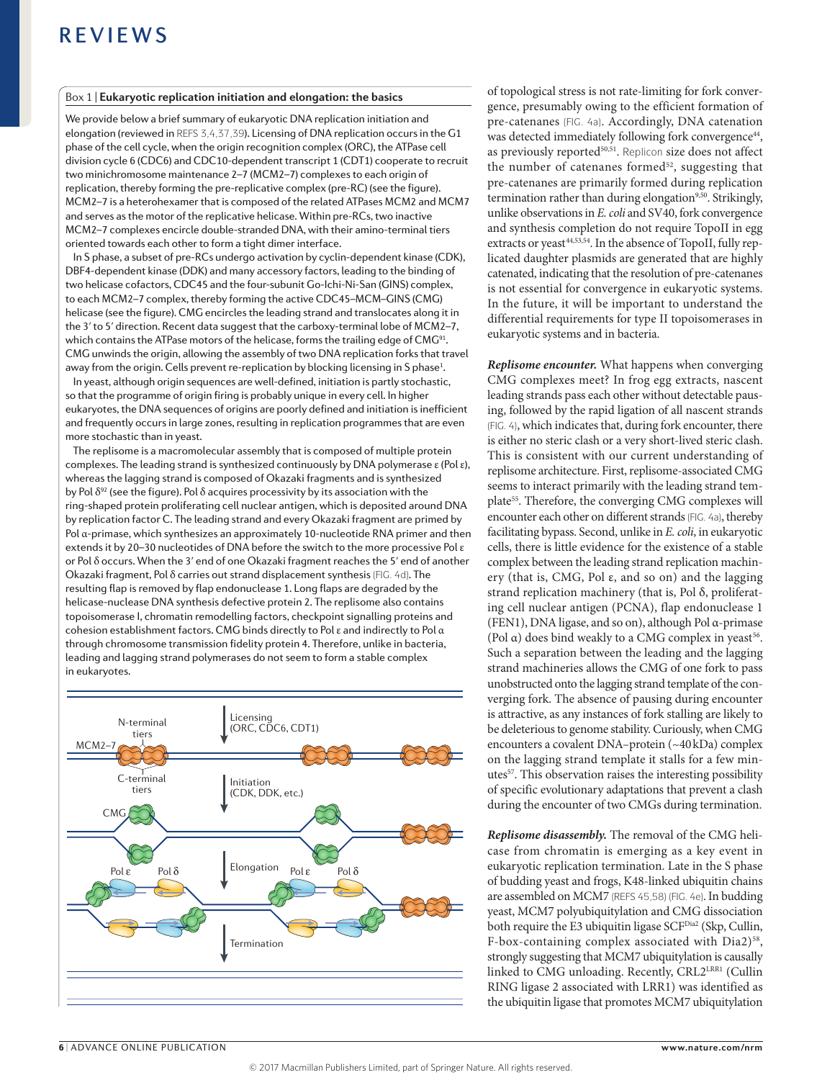#### Box 1 | **Eukaryotic replication initiation and elongation: the basics**

We provide below a brief summary of eukaryotic DNA replication initiation and elongation (reviewed in REFS 3,4,37,39). Licensing of DNA replication occurs in the G1 phase of the cell cycle, when the origin recognition complex (ORC), the ATPase cell division cycle 6 (CDC6) and CDC10‑dependent transcript 1 (CDT1) cooperate to recruit two minichromosome maintenance 2–7 (MCM2–7) complexes to each origin of replication, thereby forming the pre-replicative complex (pre‑RC) (see the figure). MCM2–7 is a heterohexamer that is composed of the related ATPases MCM2 and MCM7 and serves as the motor of the replicative helicase. Within pre-RCs, two inactive MCM2–7 complexes encircle double-stranded DNA, with their amino‑terminal tiers oriented towards each other to form a tight dimer interface.

In S phase, a subset of pre-RCs undergo activation by cyclin-dependent kinase (CDK), DBF4‑dependent kinase (DDK) and many accessory factors, leading to the binding of two helicase cofactors, CDC45 and the four-subunit Go-Ichi-Ni-San (GINS) complex, to each MCM2–7 complex, thereby forming the active CDC45–MCM–GINS (CMG) helicase (see the figure). CMG encircles the leading strand and translocates along it in the 3' to 5' direction. Recent data suggest that the carboxy-terminal lobe of MCM2-7, which contains the ATPase motors of the helicase, forms the trailing edge of CMG<sup>91</sup>. CMG unwinds the origin, allowing the assembly of two DNA replication forks that travel away from the origin. Cells prevent re-replication by blocking licensing in S phase<sup>1</sup>.

In yeast, although origin sequences are well-defined, initiation is partly stochastic, so that the programme of origin firing is probably unique in every cell. In higher eukaryotes, the DNA sequences of origins are poorly defined and initiation is inefficient and frequently occurs in large zones, resulting in replication programmes that are even more stochastic than in yeast.

The replisome is a macromolecular assembly that is composed of multiple protein complexes. The leading strand is synthesized continuously by DNA polymerase ε (Pol ε), whereas the lagging strand is composed of Okazaki fragments and is synthesized by Pol  $\delta^{92}$  (see the figure). Pol  $\delta$  acquires processivity by its association with the ring-shaped protein proliferating cell nuclear antigen, which is deposited around DNA by replication factor C. The leading strand and every Okazaki fragment are primed by Pol α‑primase, which synthesizes an approximately 10‑nucleotide RNA primer and then extends it by 20–30 nucleotides of DNA before the switch to the more processive Pol ε or Pol δ occurs. When the 3ʹ end of one Okazaki fragment reaches the 5ʹ end of another Okazaki fragment, Pol δ carries out strand displacement synthesis (FIG. 4d). The resulting flap is removed by flap endonuclease 1. Long flaps are degraded by the helicase-nuclease DNA synthesis defective protein 2. The replisome also contains topoisomerase I, chromatin remodelling factors, checkpoint signalling proteins and cohesion establishment factors. CMG binds directly to Pol ε and indirectly to Pol α through chromosome transmission fidelity protein 4. Therefore, unlike in bacteria, leading and lagging strand polymerases do not seem to form a stable complex in eukaryotes.



of topological stress is not rate-limiting for fork convergence, presumably owing to the efficient formation of pre-catenanes (FIG. 4a). Accordingly, DNA catenation was detected immediately following fork convergence<sup>44</sup>, as previously reported<sup>50,51</sup>. Replicon size does not affect the number of catenanes formed $52$ , suggesting that pre-catenanes are primarily formed during replication termination rather than during elongation<sup>9,50</sup>. Strikingly, unlike observations in *E. coli* and SV40, fork convergence and synthesis completion do not require TopoII in egg extracts or yeast $44,53,54$ . In the absence of TopoII, fully replicated daughter plasmids are generated that are highly catenated, indicating that the resolution of pre-catenanes is not essential for convergence in eukaryotic systems. In the future, it will be important to understand the differential requirements for type II topoisomerases in eukaryotic systems and in bacteria.

*Replisome encounter.* What happens when converging CMG complexes meet? In frog egg extracts, nascent leading strands pass each other without detectable pausing, followed by the rapid ligation of all nascent strands (FIG. 4), which indicates that, during fork encounter, there is either no steric clash or a very short-lived steric clash. This is consistent with our current understanding of replisome architecture. First, replisome-associated CMG seems to interact primarily with the leading strand template<sup>55</sup>. Therefore, the converging CMG complexes will encounter each other on different strands (FIG. 4a), thereby facilitating bypass. Second, unlike in *E. coli*, in eukaryotic cells, there is little evidence for the existence of a stable complex between the leading strand replication machinery (that is, CMG, Pol ε, and so on) and the lagging strand replication machinery (that is, Pol δ, proliferating cell nuclear antigen (PCNA), flap endonuclease 1 (FEN1), DNA ligase, and so on), although Pol α-primase (Pol  $\alpha$ ) does bind weakly to a CMG complex in yeast<sup>56</sup>. Such a separation between the leading and the lagging strand machineries allows the CMG of one fork to pass unobstructed onto the lagging strand template of the converging fork. The absence of pausing during encounter is attractive, as any instances of fork stalling are likely to be deleterious to genome stability. Curiously, when CMG encounters a covalent DNA–protein (~40kDa) complex on the lagging strand template it stalls for a few minutes<sup>57</sup>. This observation raises the interesting possibility of specific evolutionary adaptations that prevent a clash during the encounter of two CMGs during termination.

*Replisome disassembly.* The removal of the CMG helicase from chromatin is emerging as a key event in eukaryotic replication termination. Late in the S phase of budding yeast and frogs, K48-linked ubiquitin chains are assembled on MCM7 (REFS 45,58) (FIG. 4e). In budding yeast, MCM7 polyubiquitylation and CMG dissociation both require the E3 ubiquitin ligase SCF<sup>Dia2</sup> (Skp, Cullin, F-box-containing complex associated with Dia2)<sup>58</sup>, strongly suggesting that MCM7 ubiquitylation is causally linked to CMG unloading. Recently, CRL2LRR1 (Cullin RING ligase 2 associated with LRR1) was identified as the ubiquitin ligase that promotes MCM7 ubiquitylation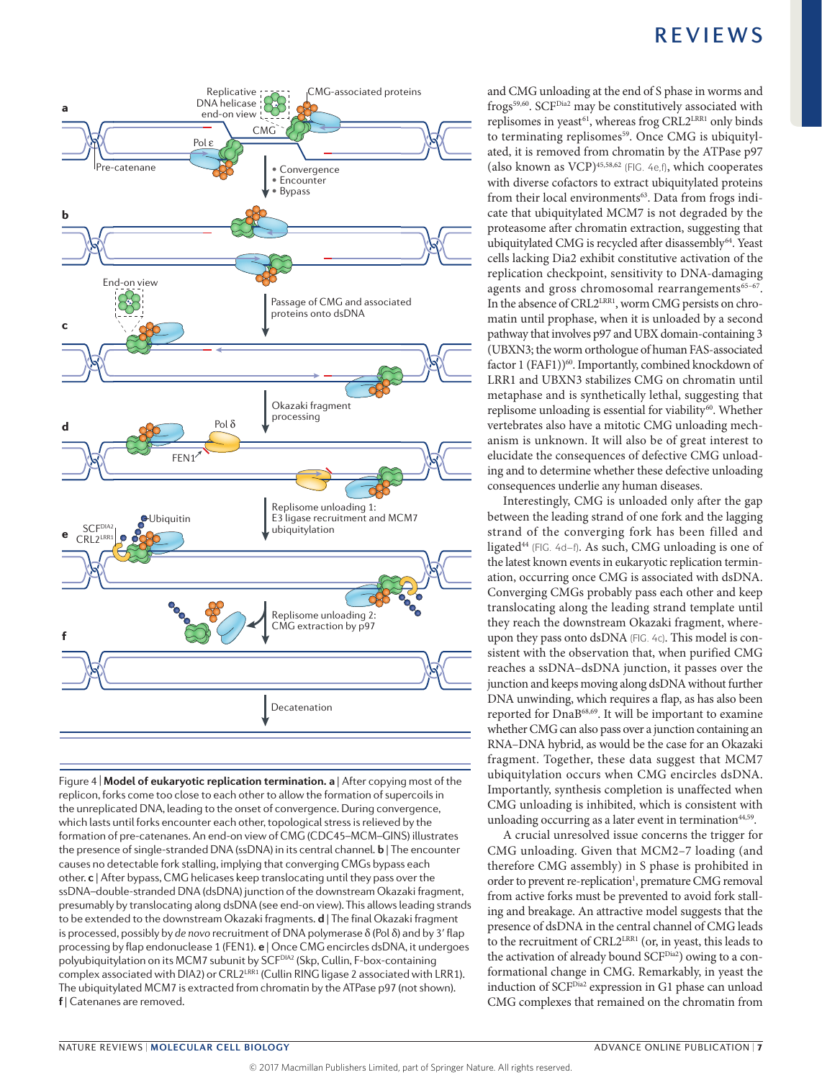

Figure 4 | **Model of eukaryotic replication termination. a** | After copying most of the **replicon, forks come too close to each other to allow the formation of supercoils in** replicon, forks come too close to each other to allow the formation of supercoils in the unreplicated DNA, leading to the onset of convergence. During convergence, which lasts until forks encounter each other, topological stress is relieved by the formation of pre-catenanes. An end‑on view of CMG (CDC45–MCM–GINS) illustrates the presence of single-stranded DNA (ssDNA) in its central channel. **b** | The encounter causes no detectable fork stalling, implying that converging CMGs bypass each other. **c** | After bypass, CMG helicases keep translocating until they pass over the ssDNA–double-stranded DNA (dsDNA) junction of the downstream Okazaki fragment, presumably by translocating along dsDNA (see end-on view). This allows leading strands to be extended to the downstream Okazaki fragments. **d** | The final Okazaki fragment is processed, possibly by *de novo* recruitment of DNA polymerase δ (Pol δ) and by 3ʹ flap processing by flap endonuclease 1 (FEN1). **e** | Once CMG encircles dsDNA, it undergoes polyubiquitylation on its MCM7 subunit by SCF<sup>DIA2</sup> (Skp, Cullin, F-box-containing complex associated with DIA2) or CRL2LRR1 (Cullin RING ligase 2 associated with LRR1). The ubiquitylated MCM7 is extracted from chromatin by the ATPase p97 (not shown). **f** | Catenanes are removed.

and CMG unloading at the end of S phase in worms and frogs<sup>59,60</sup>. SCF<sup>Dia2</sup> may be constitutively associated with replisomes in yeast<sup>61</sup>, whereas frog CRL2<sup>LRR1</sup> only binds to terminating replisomes<sup>59</sup>. Once CMG is ubiquitylated, it is removed from chromatin by the ATPase p97 (also known as VCP) $45,58,62$  (FIG.  $4e,f$ ), which cooperates with diverse cofactors to extract ubiquitylated proteins from their local environments<sup>63</sup>. Data from frogs indicate that ubiquitylated MCM7 is not degraded by the proteasome after chromatin extraction, suggesting that ubiquitylated CMG is recycled after disassembly<sup>64</sup>. Yeast cells lacking Dia2 exhibit constitutive activation of the replication checkpoint, sensitivity to DNA-damaging agents and gross chromosomal rearrangements<sup>65-67</sup>. In the absence of CRL2<sup>LRR1</sup>, worm CMG persists on chromatin until prophase, when it is unloaded by a second pathway that involves p97 and UBX domain-containing 3 (UBXN3; the worm orthologue of human FAS-associated factor 1 (FAF1))<sup>60</sup>. Importantly, combined knockdown of LRR1 and UBXN3 stabilizes CMG on chromatin until metaphase and is synthetically lethal, suggesting that replisome unloading is essential for viability<sup>60</sup>. Whether vertebrates also have a mitotic CMG unloading mechanism is unknown. It will also be of great interest to elucidate the consequences of defective CMG unloading and to determine whether these defective unloading consequences underlie any human diseases.

Interestingly, CMG is unloaded only after the gap between the leading strand of one fork and the lagging strand of the converging fork has been filled and ligated<sup>44</sup> (FIG. 4d-f). As such, CMG unloading is one of the latest known events in eukaryotic replication termination, occurring once CMG is associated with dsDNA. Converging CMGs probably pass each other and keep translocating along the leading strand template until they reach the downstream Okazaki fragment, whereupon they pass onto dsDNA (FIG. 4c). This model is consistent with the observation that, when purified CMG reaches a ssDNA–dsDNA junction, it passes over the junction and keeps moving along dsDNA without further DNA unwinding, which requires a flap, as has also been reported for DnaB68,69. It will be important to examine whether CMG can also pass over a junction containing an RNA–DNA hybrid, as would be the case for an Okazaki fragment. Together, these data suggest that MCM7 ubiquitylation occurs when CMG encircles dsDNA. Importantly, synthesis completion is unaffected when CMG unloading is inhibited, which is consistent with unloading occurring as a later event in termination $44,59$ .

A crucial unresolved issue concerns the trigger for CMG unloading. Given that MCM2–7 loading (and therefore CMG assembly) in S phase is prohibited in order to prevent re-replication<sup>1</sup>, premature CMG removal from active forks must be prevented to avoid fork stalling and breakage. An attractive model suggests that the presence of dsDNA in the central channel of CMG leads to the recruitment of CRL2<sup>LRR1</sup> (or, in yeast, this leads to the activation of already bound SCF<sup>Dia2</sup>) owing to a conformational change in CMG. Remarkably, in yeast the induction of SCF<sup>Dia2</sup> expression in G1 phase can unload CMG complexes that remained on the chromatin from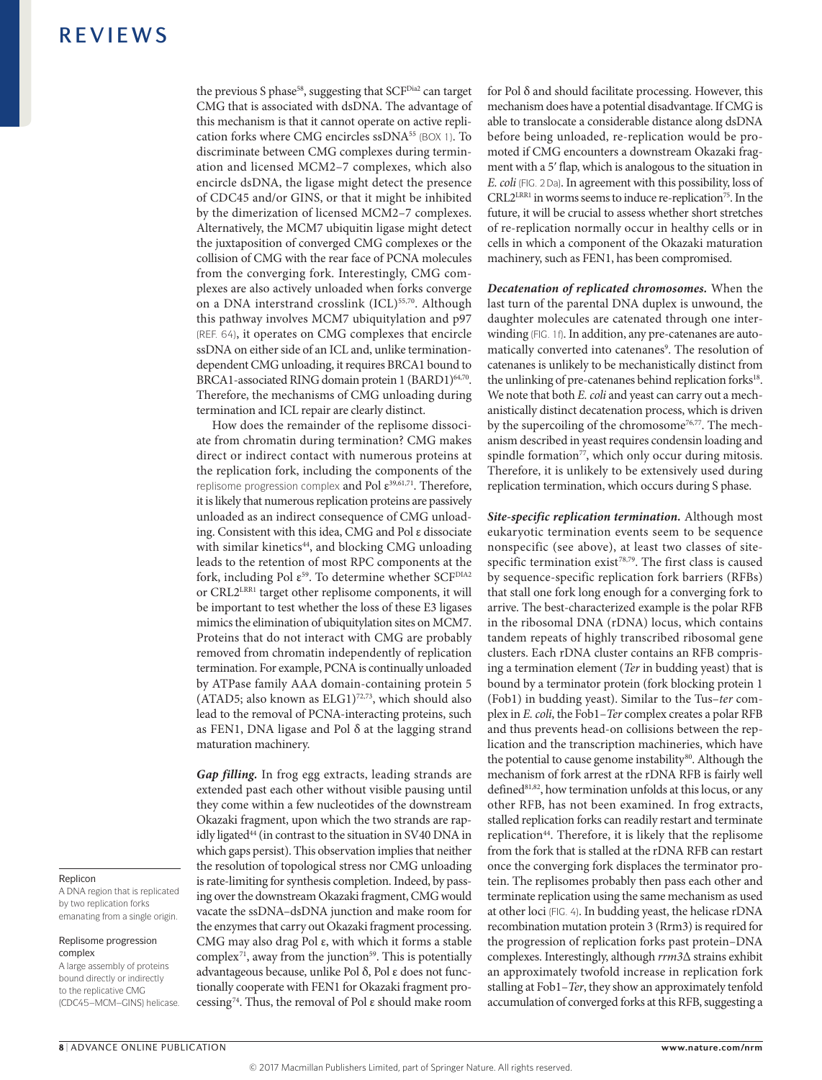the previous S phase<sup>58</sup>, suggesting that SCF<sup>Dia2</sup> can target CMG that is associated with dsDNA. The advantage of this mechanism is that it cannot operate on active replication forks where CMG encircles ssDNA<sup>55</sup> (BOX 1). To discriminate between CMG complexes during termination and licensed MCM2–7 complexes, which also encircle dsDNA, the ligase might detect the presence of CDC45 and/or GINS, or that it might be inhibited by the dimerization of licensed MCM2–7 complexes. Alternatively, the MCM7 ubiquitin ligase might detect the juxtaposition of converged CMG complexes or the collision of CMG with the rear face of PCNA molecules from the converging fork. Interestingly, CMG complexes are also actively unloaded when forks converge on a DNA interstrand crosslink (ICL)<sup>55,70</sup>. Although this pathway involves MCM7 ubiquitylation and p97 (REF. 64), it operates on CMG complexes that encircle ssDNA on either side of an ICL and, unlike terminationdependent CMG unloading, it requires BRCA1 bound to BRCA1-associated RING domain protein 1 (BARD1)<sup>64,70</sup>. Therefore, the mechanisms of CMG unloading during termination and ICL repair are clearly distinct.

How does the remainder of the replisome dissociate from chromatin during termination? CMG makes direct or indirect contact with numerous proteins at the replication fork, including the components of the replisome progression complex and Pol  $\varepsilon^{39,61,71}$ . Therefore, it is likely that numerous replication proteins are passively unloaded as an indirect consequence of CMG unloading. Consistent with this idea, CMG and Pol ε dissociate with similar kinetics<sup>44</sup>, and blocking CMG unloading leads to the retention of most RPC components at the fork, including Pol  $\varepsilon^{59}$ . To determine whether SCF<sup>DIA2</sup> or CRL2LRR1 target other replisome components, it will be important to test whether the loss of these E3 ligases mimics the elimination of ubiquitylation sites on MCM7. Proteins that do not interact with CMG are probably removed from chromatin independently of replication termination. For example, PCNA is continually unloaded by ATPase family AAA domain-containing protein 5 (ATAD5; also known as  $ELG1$ )<sup>72,73</sup>, which should also lead to the removal of PCNA-interacting proteins, such as FEN1, DNA ligase and Pol δ at the lagging strand maturation machinery.

*Gap filling.* In frog egg extracts, leading strands are extended past each other without visible pausing until they come within a few nucleotides of the downstream Okazaki fragment, upon which the two strands are rapidly ligated<sup>44</sup> (in contrast to the situation in SV40 DNA in which gaps persist). This observation implies that neither the resolution of topological stress nor CMG unloading is rate-limiting for synthesis completion. Indeed, by passing over the downstream Okazaki fragment, CMG would vacate the ssDNA–dsDNA junction and make room for the enzymes that carry out Okazaki fragment processing. CMG may also drag Pol ε, with which it forms a stable complex<sup>71</sup>, away from the junction<sup>59</sup>. This is potentially advantageous because, unlike Pol δ, Pol ε does not functionally cooperate with FEN1 for Okazaki fragment processing74. Thus, the removal of Pol ε should make room for Pol  $\delta$  and should facilitate processing. However, this mechanism does have a potential disadvantage. If CMG is able to translocate a considerable distance along dsDNA before being unloaded, re-replication would be promoted if CMG encounters a downstream Okazaki fragment with a 5ʹ flap, which is analogous to the situation in *E. coli* (FIG. 2Da). In agreement with this possibility, loss of CRL2<sup>LRR1</sup> in worms seems to induce re-replication<sup>75</sup>. In the future, it will be crucial to assess whether short stretches of re-replication normally occur in healthy cells or in cells in which a component of the Okazaki maturation machinery, such as FEN1, has been compromised.

*Decatenation of replicated chromosomes.* When the last turn of the parental DNA duplex is unwound, the daughter molecules are catenated through one interwinding (FIG. 1f). In addition, any pre-catenanes are automatically converted into catenanes<sup>9</sup>. The resolution of catenanes is unlikely to be mechanistically distinct from the unlinking of pre-catenanes behind replication forks<sup>18</sup>. We note that both *E. coli* and yeast can carry out a mechanistically distinct decatenation process, which is driven by the supercoiling of the chromosome<sup>76,77</sup>. The mechanism described in yeast requires condensin loading and spindle formation<sup>77</sup>, which only occur during mitosis. Therefore, it is unlikely to be extensively used during replication termination, which occurs during S phase.

*Site-specific replication termination.* Although most eukaryotic termination events seem to be sequence nonspecific (see above), at least two classes of sitespecific termination exist<sup>78,79</sup>. The first class is caused by sequence-specific replication fork barriers (RFBs) that stall one fork long enough for a converging fork to arrive. The best-characterized example is the polar RFB in the ribosomal DNA (rDNA) locus, which contains tandem repeats of highly transcribed ribosomal gene clusters. Each rDNA cluster contains an RFB comprising a termination element (*Ter* in budding yeast) that is bound by a terminator protein (fork blocking protein 1 (Fob1) in budding yeast). Similar to the Tus–*ter* complex in *E. coli*, the Fob1–*Ter* complex creates a polar RFB and thus prevents head-on collisions between the replication and the transcription machineries, which have the potential to cause genome instability<sup>80</sup>. Although the mechanism of fork arrest at the rDNA RFB is fairly well defined<sup>81,82</sup>, how termination unfolds at this locus, or any other RFB, has not been examined. In frog extracts, stalled replication forks can readily restart and terminate replication<sup>44</sup>. Therefore, it is likely that the replisome from the fork that is stalled at the rDNA RFB can restart once the converging fork displaces the terminator protein. The replisomes probably then pass each other and terminate replication using the same mechanism as used at other loci (FIG. 4). In budding yeast, the helicase rDNA recombination mutation protein 3 (Rrm3) is required for the progression of replication forks past protein–DNA complexes. Interestingly, although *rrm3*Δ strains exhibit an approximately twofold increase in replication fork stalling at Fob1–*Ter*, they show an approximately tenfold accumulation of converged forks at this RFB, suggesting a

#### Replicon

A DNA region that is replicated by two replication forks emanating from a single origin.

#### Replisome progression complex

A large assembly of proteins bound directly or indirectly to the replicative CMG (CDC45–MCM–GINS) helicase.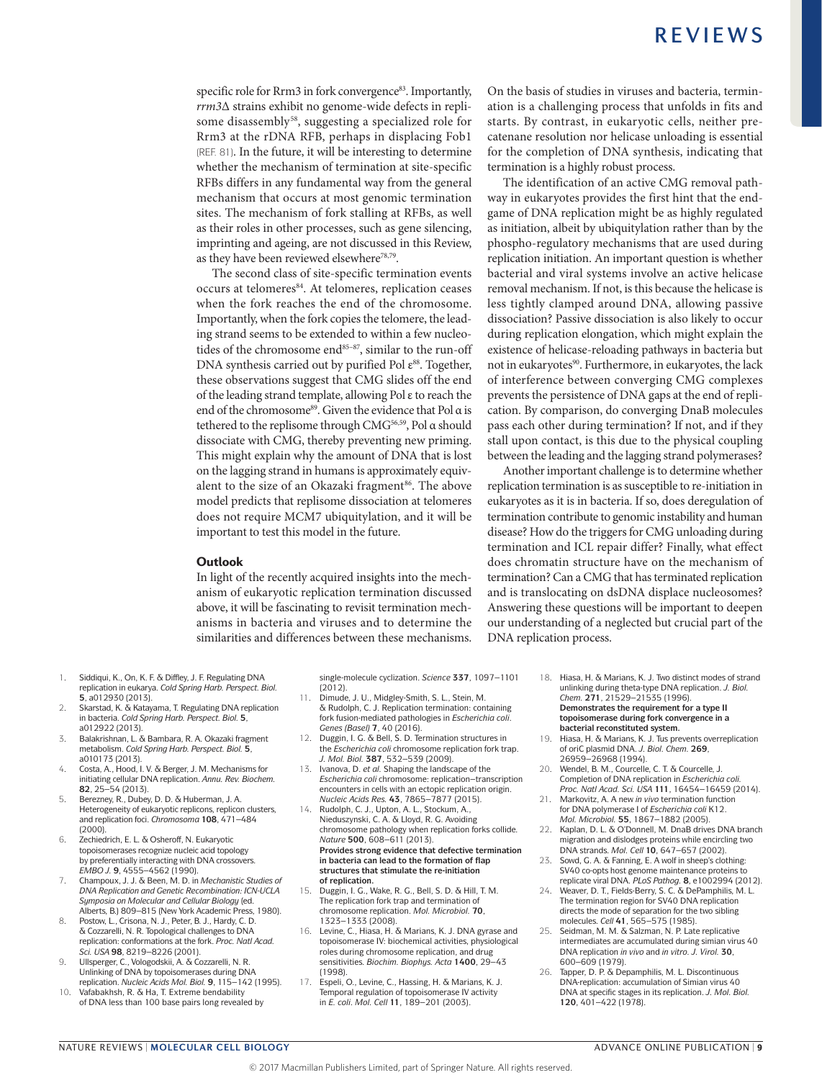specific role for Rrm3 in fork convergence<sup>83</sup>. Importantly, *rrm3*Δ strains exhibit no genome-wide defects in replisome disassembly<sup>58</sup>, suggesting a specialized role for Rrm3 at the rDNA RFB, perhaps in displacing Fob1 (REF. 81). In the future, it will be interesting to determine whether the mechanism of termination at site-specific RFBs differs in any fundamental way from the general mechanism that occurs at most genomic termination sites. The mechanism of fork stalling at RFBs, as well as their roles in other processes, such as gene silencing, imprinting and ageing, are not discussed in this Review, as they have been reviewed elsewhere<sup>78,79</sup>.

The second class of site-specific termination events occurs at telomeres<sup>84</sup>. At telomeres, replication ceases when the fork reaches the end of the chromosome. Importantly, when the fork copies the telomere, the leading strand seems to be extended to within a few nucleotides of the chromosome end<sup>85-87</sup>, similar to the run-off DNA synthesis carried out by purified Pol  $\varepsilon^{88}$ . Together, these observations suggest that CMG slides off the end of the leading strand template, allowing Pol ε to reach the end of the chromosome<sup>89</sup>. Given the evidence that Pol α is tethered to the replisome through CMG<sup>56,59</sup>, Pol α should dissociate with CMG, thereby preventing new priming. This might explain why the amount of DNA that is lost on the lagging strand in humans is approximately equivalent to the size of an Okazaki fragment<sup>86</sup>. The above model predicts that replisome dissociation at telomeres does not require MCM7 ubiquitylation, and it will be important to test this model in the future.

#### **Outlook**

In light of the recently acquired insights into the mechanism of eukaryotic replication termination discussed above, it will be fascinating to revisit termination mechanisms in bacteria and viruses and to determine the similarities and differences between these mechanisms.

On the basis of studies in viruses and bacteria, termination is a challenging process that unfolds in fits and starts. By contrast, in eukaryotic cells, neither precatenane resolution nor helicase unloading is essential for the completion of DNA synthesis, indicating that termination is a highly robust process.

The identification of an active CMG removal pathway in eukaryotes provides the first hint that the endgame of DNA replication might be as highly regulated as initiation, albeit by ubiquitylation rather than by the phospho-regulatory mechanisms that are used during replication initiation. An important question is whether bacterial and viral systems involve an active helicase removal mechanism. If not, is this because the helicase is less tightly clamped around DNA, allowing passive dissociation? Passive dissociation is also likely to occur during replication elongation, which might explain the existence of helicase-reloading pathways in bacteria but not in eukaryotes<sup>90</sup>. Furthermore, in eukaryotes, the lack of interference between converging CMG complexes prevents the persistence of DNA gaps at the end of replication. By comparison, do converging DnaB molecules pass each other during termination? If not, and if they stall upon contact, is this due to the physical coupling between the leading and the lagging strand polymerases?

Another important challenge is to determine whether replication termination is as susceptible to re-initiation in eukaryotes as it is in bacteria. If so, does deregulation of termination contribute to genomic instability and human disease? How do the triggers for CMG unloading during termination and ICL repair differ? Finally, what effect does chromatin structure have on the mechanism of termination? Can a CMG that has terminated replication and is translocating on dsDNA displace nucleosomes? Answering these questions will be important to deepen our understanding of a neglected but crucial part of the DNA replication process.

- 1. Siddiqui, K., On, K. F. & Diffley, J. F. Regulating DNA replication in eukarya. *Cold Spring Harb. Perspect. Biol.* **5**, a012930 (2013).
- 2. Skarstad, K. & Katayama, T. Regulating DNA replication in bacteria. *Cold Spring Harb. Perspect. Biol.* **5**, a012922 (2013).
- 3. Balakrishnan, L. & Bambara, R. A. Okazaki fragment metabolism. *Cold Spring Harb. Perspect. Biol.* **5**, a010173 (2013).
- 4. Costa, A., Hood, I. V. & Berger, J. M. Mechanisms for initiating cellular DNA replication. *Annu. Rev. Biochem.*  **82**, 25–54 (2013).
- Berezney, R., Dubey, D. D. & Huberman, J. A. Heterogeneity of eukaryotic replicons, replicon clusters, and replication foci. *Chromosoma* **108**, 471–484  $(2000)$
- 6. Zechiedrich, E. L. & Osheroff, N. Eukaryotic topoisomerases recognize nucleic acid topology by preferentially interacting with DNA crossovers. *EMBO J.* **9**, 4555–4562 (1990).
- 7. Champoux, J. J. & Been, M. D. in *Mechanistic Studies of DNA Replication and Genetic Recombination: ICN-UCLA Symposia on Molecular and Cellular Biology* (ed. Alberts, B.) 809–815 (New York Academic Press, 1980).
- 8. Postow, L., Crisona, N. J., Peter, B. J., Hardy, C. D. & Cozzarelli, N. R. Topological challenges to DNA replication: conformations at the fork. *Proc. Natl Acad. Sci. USA* **98**, 8219–8226 (2001).
- 9. Ullsperger, C., Vologodskii, A. & Cozzarelli, N. R. Unlinking of DNA by topoisomerases during DNA replication. *Nucleic Acids Mol. Biol.* **9**, 115–142 (1995).
- 10. Vafabakhsh, R. & Ha, T. Extreme bendability of DNA less than 100 base pairs long revealed by

single-molecule cyclization. *Science* **337**, 1097–1101 (2012).

- 11. Dimude, J. U., Midgley-Smith, S. L., Stein, M. & Rudolph, C. J. Replication termination: containing fork fusion-mediated pathologies in *Escherichia coli*. *Genes (Basel)* **7**, 40 (2016).
- 12. Duggin, I. G. & Bell, S. D. Termination structures in the *Escherichia coli* chromosome replication fork trap. *J. Mol. Biol.* **387**, 532–539 (2009).
- 13. Ivanova, D. *et al.* Shaping the landscape of the *Escherichia coli* chromosome: replication–transcription encounters in cells with an ectopic replication origin. *Nucleic Acids Res.* **43**, 7865–7877 (2015).
- 14. Rudolph, C. J., Upton, A. L., Stockum, A., Nieduszynski, C. A. & Lloyd, R. G. Avoiding chromosome pathology when replication forks collide. *Nature* **500**, 608–611 (2013). **Provides strong evidence that defective termination in bacteria can lead to the formation of flap structures that stimulate the re‑initiation of replication.**
- 15. Duggin, I. G., Wake, R. G., Bell, S. D. & Hill, T. M. The replication fork trap and termination of chromosome replication. *Mol. Microbiol.* **70**, 1323–1333 (2008).
- 16. Levine, C., Hiasa, H. & Marians, K. J. DNA gyrase and topoisomerase IV: biochemical activities, physiological roles during chromosome replication, and drug sensitivities. *Biochim. Biophys. Acta* **1400**, 29–43 (1998).
- 17. Espeli, O., Levine, C., Hassing, H. & Marians, K. J. Temporal regulation of topoisomerase IV activity in *E. coli*. *Mol. Cell* **11**, 189–201 (2003).
- 18. Hiasa, H. & Marians, K. J. Two distinct modes of strand unlinking during theta-type DNA replication. *J. Biol. Chem.* **271**, 21529–21535 (1996). **Demonstrates the requirement for a type II topoisomerase during fork convergence in a bacterial reconstituted system.**
- 19. Hiasa, H. & Marians, K. J. Tus prevents overreplication of oriC plasmid DNA. *J. Biol. Chem.* **269**, 26959–26968 (1994).
- 20. Wendel, B. M., Courcelle, C. T. & Courcelle, J. Completion of DNA replication in *Escherichia coli. Proc. Natl Acad. Sci. USA* **111**, 16454–16459 (2014). 21. Markovitz, A. A new *in vivo* termination function
- for DNA polymerase I of *Escherichia coli* K12. *Mol. Microbiol.* **55**, 1867–1882 (2005).
- 22. Kaplan, D. L. & O'Donnell, M. DnaB drives DNA branch migration and dislodges proteins while encircling two DNA strands. *Mol. Cell* **10**, 647–657 (2002).
- 23. Sowd, G. A. & Fanning, E. A wolf in sheep's clothing: SV40 co-opts host genome maintenance proteins to replicate viral DNA. *PLoS Pathog.* **8**, e1002994 (2012).
- 24. Weaver, D. T., Fields-Berry, S. C. & DePamphilis, M. L. The termination region for SV40 DNA replication directs the mode of separation for the two sibling molecules. *Cell* **41**, 565–575 (1985).
- 25. Seidman, M. M. & Salzman, N. P. Late replicative intermediates are accumulated during simian virus 40 DNA replication *in vivo* and *in vitro. J. Virol.* **30**, 600–609 (1979).
- 26. Tapper, D. P. & Depamphilis, M. L. Discontinuous DNA-replication: accumulation of Simian virus 40 DNA at specific stages in its replication. *J. Mol. Biol.*  **120**, 401–422 (1978).